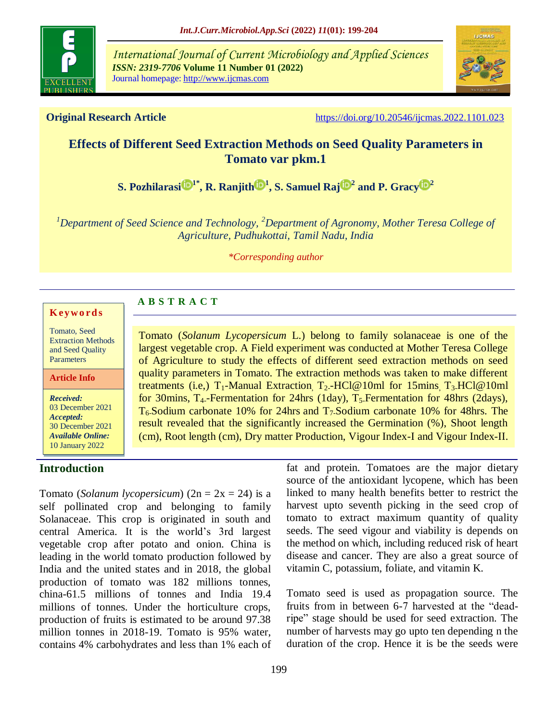

*International Journal of Current Microbiology and Applied Sciences ISSN: 2319-7706* **Volume 11 Number 01 (2022)**  Journal homepage: http://www.ijcmas.com



**Original Research Article** https://doi.org/10.20546/ijcmas.2022.1101.023

# **Effects of Different Seed Extraction Methods on Seed Quality Parameters in Tomato var pkm.1**

 $\mathbf{S}.$  Pozhilarasi $\mathbf{D}^{1*}, \mathbf{R}.$  Ranjith $\mathbf{D}^{1}, \mathbf{S}.$  Samuel Raj $\mathbf{D}^{2}$  and [P. Gracy](https://orcid.org/0000-0002-8229-7738) $\mathbf{D}^{2}$ 

*<sup>1</sup>Department of Seed Science and Technology, <sup>2</sup>Department of Agronomy, Mother Teresa College of Agriculture, Pudhukottai, Tamil Nadu, India*

*\*Corresponding author*

#### **K ey w o rd s**

Tomato, Seed Extraction Methods and Seed Quality Parameters

**Article Info**

*Received:*  03 December 2021 *Accepted:*  30 December 2021 *Available Online:* 10 January 2022

### **Introduction**

Tomato (*Solanum Lycopersicum* L.) belong to family solanaceae is one of the largest vegetable crop. A Field experiment was conducted at Mother Teresa College of Agriculture to study the effects of different seed extraction methods on seed quality parameters in Tomato. The extraction methods was taken to make different treatments (i.e,)  $T_1$ -Manual Extraction,  $T_2$ -HCl@10ml for 15mins,  $T_3$ -HCl@10ml for 30mins, T<sub>4</sub>-Fermentation for 24hrs (1day), T<sub>5</sub>-Fermentation for 48hrs (2days),  $T_6$ -Sodium carbonate 10% for 24hrs and  $T_7$ -Sodium carbonate 10% for 48hrs. The result revealed that the significantly increased the Germination (%), Shoot length (cm), Root length (cm), Dry matter Production, Vigour Index-I and Vigour Index-II.

Tomato (*Solanum lycopersicum*) (2n = 2x = 24) is a self pollinated crop and belonging to family Solanaceae. This crop is originated in south and central America. It is the world's 3rd largest vegetable crop after potato and onion. China is leading in the world tomato production followed by India and the united states and in 2018, the global production of tomato was 182 millions tonnes, china-61.5 millions of tonnes and India 19.4 millions of tonnes. Under the horticulture crops, production of fruits is estimated to be around 97.38 million tonnes in 2018-19. Tomato is 95% water, contains 4% carbohydrates and less than 1% each of

**A B S T R A C T**

fat and protein. Tomatoes are the major dietary source of the antioxidant lycopene, which has been linked to many health benefits better to restrict the harvest upto seventh picking in the seed crop of tomato to extract maximum quantity of quality seeds. The seed vigour and viability is depends on the method on which, including reduced risk of heart disease and cancer. They are also a great source of vitamin C, potassium, foliate, and vitamin K.

Tomato seed is used as propagation source. The fruits from in between 6-7 harvested at the "deadripe" stage should be used for seed extraction. The number of harvests may go upto ten depending n the duration of the crop. Hence it is be the seeds were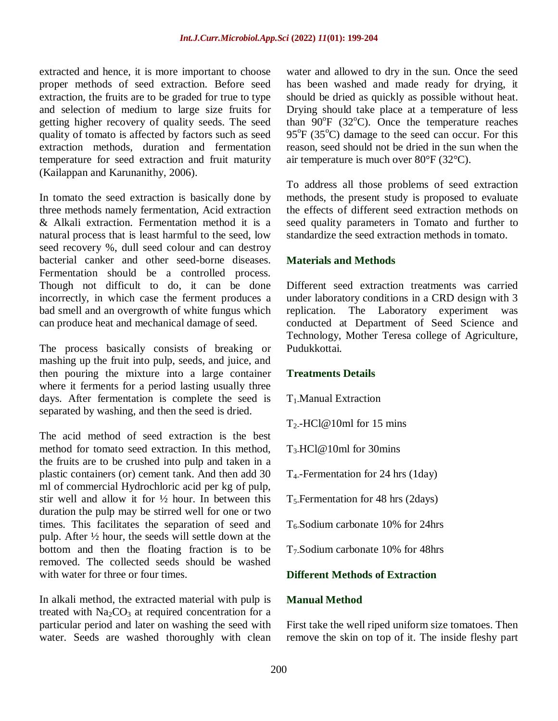extracted and hence, it is more important to choose proper methods of seed extraction. Before seed extraction, the fruits are to be graded for true to type and selection of medium to large size fruits for getting higher recovery of quality seeds. The seed quality of tomato is affected by factors such as seed extraction methods, duration and fermentation temperature for seed extraction and fruit maturity (Kailappan and Karunanithy, 2006).

In tomato the seed extraction is basically done by three methods namely fermentation, Acid extraction & Alkali extraction. Fermentation method it is a natural process that is least harmful to the seed, low seed recovery %, dull seed colour and can destroy bacterial canker and other seed-borne diseases. Fermentation should be a controlled process. Though not difficult to do, it can be done incorrectly, in which case the ferment produces a bad smell and an overgrowth of white fungus which can produce heat and mechanical damage of seed.

The process basically consists of breaking or mashing up the fruit into pulp, seeds, and juice, and then pouring the mixture into a large container where it ferments for a period lasting usually three days. After fermentation is complete the seed is separated by washing, and then the seed is dried.

The acid method of seed extraction is the best method for tomato seed extraction. In this method, the fruits are to be crushed into pulp and taken in a plastic containers (or) cement tank. And then add 30 ml of commercial Hydrochloric acid per kg of pulp, stir well and allow it for  $\frac{1}{2}$  hour. In between this duration the pulp may be stirred well for one or two times. This facilitates the separation of seed and pulp. After ½ hour, the seeds will settle down at the bottom and then the floating fraction is to be removed. The collected seeds should be washed with water for three or four times.

In alkali method, the extracted material with pulp is treated with  $Na<sub>2</sub>CO<sub>3</sub>$  at required concentration for a particular period and later on washing the seed with water. Seeds are washed thoroughly with clean

water and allowed to dry in the sun. Once the seed has been washed and made ready for drying, it should be dried as quickly as possible without heat. Drying should take place at a temperature of less than  $90^{\circ}$ F (32 $^{\circ}$ C). Once the temperature reaches  $95^{\circ}$ F (35 $^{\circ}$ C) damage to the seed can occur. For this reason, seed should not be dried in the sun when the air temperature is much over 80°F (32°C).

To address all those problems of seed extraction methods, the present study is proposed to evaluate the effects of different seed extraction methods on seed quality parameters in Tomato and further to standardize the seed extraction methods in tomato.

## **Materials and Methods**

Different seed extraction treatments was carried under laboratory conditions in a CRD design with 3 replication. The Laboratory experiment was conducted at Department of Seed Science and Technology, Mother Teresa college of Agriculture, Pudukkottai.

### **Treatments Details**

 $T_1$ . Manual Extraction

 $T_2$ -HCl@10ml for 15 mins

 $T_3$ -HCl@10ml for 30mins

T4--Fermentation for 24 hrs (1day)

 $T_5$ -Fermentation for 48 hrs (2days)

 $T_6$ -Sodium carbonate 10% for 24hrs

T7-Sodium carbonate 10% for 48hrs

## **Different Methods of Extraction**

### **Manual Method**

First take the well riped uniform size tomatoes. Then remove the skin on top of it. The inside fleshy part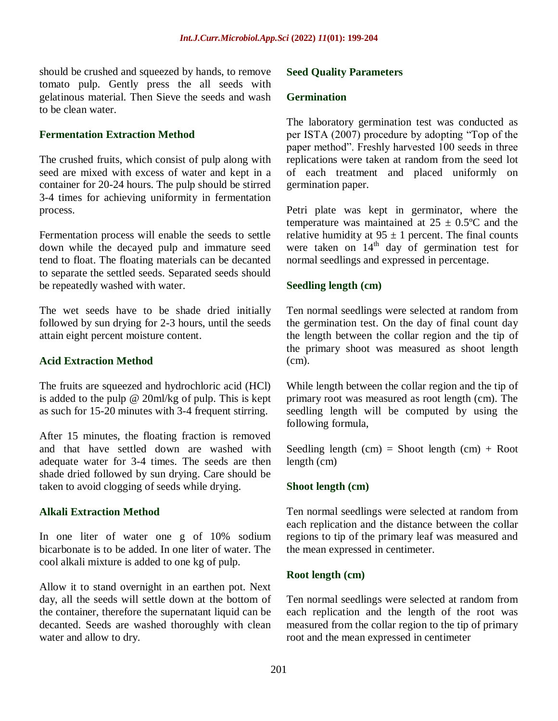should be crushed and squeezed by hands, to remove tomato pulp. Gently press the all seeds with gelatinous material. Then Sieve the seeds and wash to be clean water.

## **Fermentation Extraction Method**

The crushed fruits, which consist of pulp along with seed are mixed with excess of water and kept in a container for 20-24 hours. The pulp should be stirred 3-4 times for achieving uniformity in fermentation process.

Fermentation process will enable the seeds to settle down while the decayed pulp and immature seed tend to float. The floating materials can be decanted to separate the settled seeds. Separated seeds should be repeatedly washed with water.

The wet seeds have to be shade dried initially followed by sun drying for 2-3 hours, until the seeds attain eight percent moisture content.

## **Acid Extraction Method**

The fruits are squeezed and hydrochloric acid (HCl) is added to the pulp @ 20ml/kg of pulp. This is kept as such for 15-20 minutes with 3-4 frequent stirring.

After 15 minutes, the floating fraction is removed and that have settled down are washed with adequate water for 3-4 times. The seeds are then shade dried followed by sun drying. Care should be taken to avoid clogging of seeds while drying.

## **Alkali Extraction Method**

In one liter of water one g of 10% sodium bicarbonate is to be added. In one liter of water. The cool alkali mixture is added to one kg of pulp.

Allow it to stand overnight in an earthen pot. Next day, all the seeds will settle down at the bottom of the container, therefore the supernatant liquid can be decanted. Seeds are washed thoroughly with clean water and allow to dry.

### **Seed Quality Parameters**

#### **Germination**

The laboratory germination test was conducted as per ISTA (2007) procedure by adopting "Top of the paper method". Freshly harvested 100 seeds in three replications were taken at random from the seed lot of each treatment and placed uniformly on germination paper.

Petri plate was kept in germinator, where the temperature was maintained at  $25 \pm 0.5$ °C and the relative humidity at  $95 \pm 1$  percent. The final counts were taken on  $14<sup>th</sup>$  day of germination test for normal seedlings and expressed in percentage.

### **Seedling length (cm)**

Ten normal seedlings were selected at random from the germination test. On the day of final count day the length between the collar region and the tip of the primary shoot was measured as shoot length (cm).

While length between the collar region and the tip of primary root was measured as root length (cm). The seedling length will be computed by using the following formula,

Seedling length  $(cm) =$  Shoot length  $(cm) +$  Root length (cm)

### **Shoot length (cm)**

Ten normal seedlings were selected at random from each replication and the distance between the collar regions to tip of the primary leaf was measured and the mean expressed in centimeter.

### **Root length (cm)**

Ten normal seedlings were selected at random from each replication and the length of the root was measured from the collar region to the tip of primary root and the mean expressed in centimeter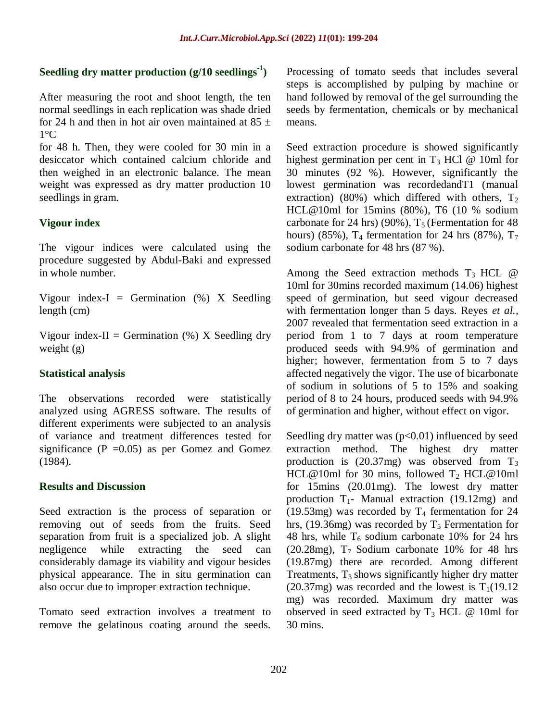# **Seedling dry matter production (g/10 seedlings-1 )**

After measuring the root and shoot length, the ten normal seedlings in each replication was shade dried for 24 h and then in hot air oven maintained at  $85 \pm$  $1^{\circ}C$ 

for 48 h. Then, they were cooled for 30 min in a desiccator which contained calcium chloride and then weighed in an electronic balance. The mean weight was expressed as dry matter production 10 seedlings in gram.

## **Vigour index**

The vigour indices were calculated using the procedure suggested by Abdul-Baki and expressed in whole number.

Vigour index-I = Germination  $(\%)$  X Seedling length (cm)

Vigour index-II = Germination  $(\%)$  X Seedling dry weight (g)

## **Statistical analysis**

The observations recorded were statistically analyzed using AGRESS software. The results of different experiments were subjected to an analysis of variance and treatment differences tested for significance ( $P = 0.05$ ) as per Gomez and Gomez (1984).

### **Results and Discussion**

Seed extraction is the process of separation or removing out of seeds from the fruits. Seed separation from fruit is a specialized job. A slight negligence while extracting the seed can considerably damage its viability and vigour besides physical appearance. The in situ germination can also occur due to improper extraction technique.

Tomato seed extraction involves a treatment to remove the gelatinous coating around the seeds.

Processing of tomato seeds that includes several steps is accomplished by pulping by machine or hand followed by removal of the gel surrounding the seeds by fermentation, chemicals or by mechanical means.

Seed extraction procedure is showed significantly highest germination per cent in  $T_3$  HCl @ 10ml for 30 minutes (92 %). However, significantly the lowest germination was recordedandT1 (manual extraction) (80%) which differed with others,  $T_2$ HCL@10ml for 15mins (80%), T6 (10 % sodium carbonate for 24 hrs) (90%),  $T_5$  (Fermentation for 48 hours) (85%),  $T_4$  fermentation for 24 hrs (87%),  $T_7$ sodium carbonate for 48 hrs (87 %).

Among the Seed extraction methods  $T_3$  HCL  $\omega$ 10ml for 30mins recorded maximum (14.06) highest speed of germination, but seed vigour decreased with fermentation longer than 5 days. Reyes *et al.,*  2007 revealed that fermentation seed extraction in a period from 1 to 7 days at room temperature produced seeds with 94.9% of germination and higher; however, fermentation from 5 to 7 days affected negatively the vigor. The use of bicarbonate of sodium in solutions of 5 to 15% and soaking period of 8 to 24 hours, produced seeds with 94.9% of germination and higher, without effect on vigor.

Seedling dry matter was  $(p<0.01)$  influenced by seed extraction method. The highest dry matter production is (20.37mg) was observed from T<sub>3</sub> HCL@10ml for 30 mins, followed  $T_2$  HCL@10ml for 15mins (20.01mg). The lowest dry matter production  $T_1$ - Manual extraction (19.12mg) and (19.53mg) was recorded by  $T_4$  fermentation for 24 hrs, (19.36mg) was recorded by  $T_5$  Fermentation for 48 hrs, while  $T_6$  sodium carbonate 10% for 24 hrs  $(20.28mg)$ ,  $T_7$  Sodium carbonate 10% for 48 hrs (19.87mg) there are recorded. Among different Treatments,  $T_3$  shows significantly higher dry matter  $(20.37mg)$  was recorded and the lowest is  $T_1(19.12)$ mg) was recorded. Maximum dry matter was observed in seed extracted by  $T_3$  HCL @ 10ml for 30 mins.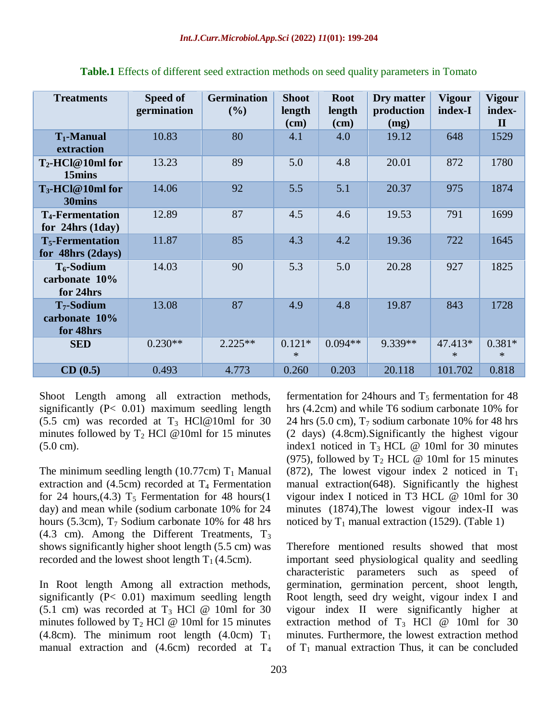| <b>Treatments</b>                                       | Speed of<br>germination | <b>Germination</b><br>(%) | <b>Shoot</b><br>length<br>$(cm)$ | <b>Root</b><br>length<br>$(cm)$ | Dry matter<br>production<br>(mg) | <b>Vigour</b><br>index-I | <b>Vigour</b><br>index-<br>$\mathbf{I}$ |
|---------------------------------------------------------|-------------------------|---------------------------|----------------------------------|---------------------------------|----------------------------------|--------------------------|-----------------------------------------|
| $T_1$ -Manual<br>extraction                             | 10.83                   | 80                        | 4.1                              | 4.0                             | 19.12                            | 648                      | 1529                                    |
| $T_2$ -HCl@10ml for<br>15mins                           | 13.23                   | 89                        | 5.0                              | 4.8                             | 20.01                            | 872                      | 1780                                    |
| $T_3$ -HCl@10ml for<br>30mins                           | 14.06                   | 92                        | 5.5                              | 5.1                             | 20.37                            | 975                      | 1874                                    |
| <b>T<sub>4</sub>-Fermentation</b><br>for $24hrs$ (1day) | 12.89                   | 87                        | 4.5                              | 4.6                             | 19.53                            | 791                      | 1699                                    |
| $T_5$ -Fermentation<br>for 48hrs (2days)                | 11.87                   | 85                        | 4.3                              | 4.2                             | 19.36                            | 722                      | 1645                                    |
| $T_6$ -Sodium<br>carbonate 10%<br>for 24hrs             | 14.03                   | 90                        | 5.3                              | 5.0                             | 20.28                            | 927                      | 1825                                    |
| $T7$ -Sodium<br>carbonate 10%<br>for 48hrs              | 13.08                   | 87                        | 4.9                              | 4.8                             | 19.87                            | 843                      | 1728                                    |
| <b>SED</b>                                              | $0.230**$               | $2.225**$                 | $0.121*$<br>$\ast$               | $0.094**$                       | 9.339**                          | 47.413*<br>$*$           | $0.381*$<br>$\ast$                      |
| CD(0.5)                                                 | 0.493                   | 4.773                     | 0.260                            | 0.203                           | 20.118                           | 101.702                  | 0.818                                   |

**Table.1** Effects of different seed extraction methods on seed quality parameters in Tomato

Shoot Length among all extraction methods, significantly (P< 0.01) maximum seedling length (5.5 cm) was recorded at  $T_3$  HCl@10ml for 30 minutes followed by  $T_2$  HCl @10ml for 15 minutes (5.0 cm).

The minimum seedling length (10.77cm)  $T_1$  Manual extraction and (4.5cm) recorded at  $T_4$  Fermentation for 24 hours,  $(4.3)$  T<sub>5</sub> Fermentation for 48 hours $(1)$ day) and mean while (sodium carbonate 10% for 24 hours (5.3cm),  $T_7$  Sodium carbonate 10% for 48 hrs (4.3 cm). Among the Different Treatments,  $T_3$ shows significantly higher shoot length (5.5 cm) was recorded and the lowest shoot length  $T_1$  (4.5cm).

In Root length Among all extraction methods, significantly (P< 0.01) maximum seedling length (5.1 cm) was recorded at  $T_3$  HCl @ 10ml for 30 minutes followed by  $T_2$  HCl @ 10ml for 15 minutes (4.8cm). The minimum root length (4.0cm)  $T_1$ manual extraction and  $(4.6cm)$  recorded at T<sub>4</sub>

fermentation for 24 hours and  $T_5$  fermentation for 48 hrs (4.2cm) and while T6 sodium carbonate 10% for 24 hrs (5.0 cm),  $T_7$  sodium carbonate 10% for 48 hrs (2 days) (4.8cm).Significantly the highest vigour index1 noticed in  $T_3$  HCL  $\omega$  10ml for 30 minutes (975), followed by  $T_2$  HCL @ 10ml for 15 minutes (872), The lowest vigour index 2 noticed in  $T_1$ manual extraction(648). Significantly the highest vigour index I noticed in T3 HCL @ 10ml for 30 minutes (1874),The lowest vigour index-II was noticed by  $T_1$  manual extraction (1529). (Table 1)

Therefore mentioned results showed that most important seed physiological quality and seedling characteristic parameters such as speed of germination, germination percent, shoot length, Root length, seed dry weight, vigour index I and vigour index II were significantly higher at extraction method of  $T_3$  HCl @ 10ml for 30 minutes. Furthermore, the lowest extraction method of  $T_1$  manual extraction Thus, it can be concluded